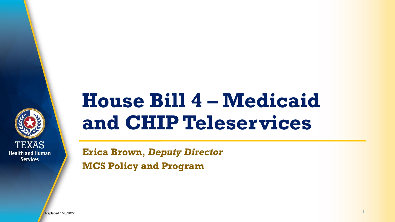

# **House Bill 4 – Medicaid and CHIP Teleservices**

**Erica Brown,** *Deputy Director* **MCS Policy and Program**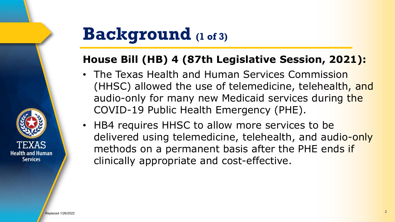## **Background (1 of 3)**

#### **House Bill (HB) 4 (87th Legislative Session, 2021):**

- The Texas Health and Human Services Commission (HHSC) allowed the use of telemedicine, telehealth, and audio-only for many new Medicaid services during the COVID-19 Public Health Emergency (PHE).
- HB4 requires HHSC to allow more services to be delivered using telemedicine, telehealth, and audio-only methods on a permanent basis after the PHE ends if clinically appropriate and cost-effective.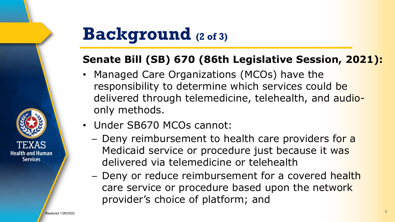## **Background (2 of 3)**

### **Senate Bill (SB) 670 (86th Legislative Session, 2021):**

- Managed Care Organizations (MCOs) have the responsibility to determine which services could be delivered through telemedicine, telehealth, and audioonly methods.
- Under SB670 MCOs cannot:
	- − Deny reimbursement to health care providers for a Medicaid service or procedure just because it was delivered via telemedicine or telehealth
	- − Deny or reduce reimbursement for a covered health care service or procedure based upon the network provider's choice of platform; and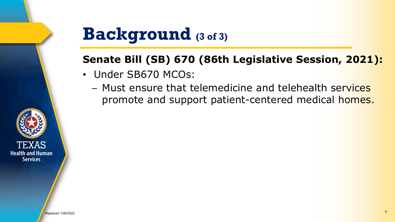### **Background (3 of 3)**

### **Senate Bill (SB) 670 (86th Legislative Session, 2021):**

- Under SB670 MCOs:
	- − Must ensure that telemedicine and telehealth services promote and support patient-centered medical homes.

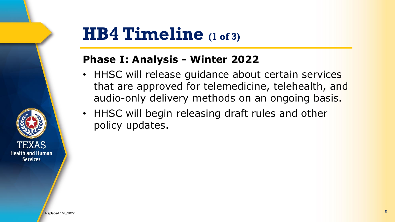### **HB4 Timeline (1 of 3)**

#### **Phase I: Analysis - Winter 2022**

- HHSC will release guidance about certain services that are approved for telemedicine, telehealth, and audio-only delivery methods on an ongoing basis.
- HHSC will begin releasing draft rules and other policy updates.

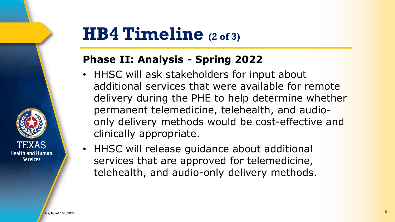### **HB4 Timeline (2 of 3)**

#### **Phase II: Analysis - Spring 2022**

- HHSC will ask stakeholders for input about additional services that were available for remote delivery during the PHE to help determine whether permanent telemedicine, telehealth, and audioonly delivery methods would be cost-effective and clinically appropriate.
- HHSC will release guidance about additional services that are approved for telemedicine, telehealth, and audio-only delivery methods.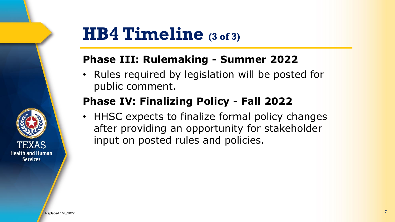

### **HB4 Timeline (3 of 3)**

#### **Phase III: Rulemaking - Summer 2022**

• Rules required by legislation will be posted for public comment.

#### **Phase IV: Finalizing Policy - Fall 2022**

• HHSC expects to finalize formal policy changes after providing an opportunity for stakeholder input on posted rules and policies.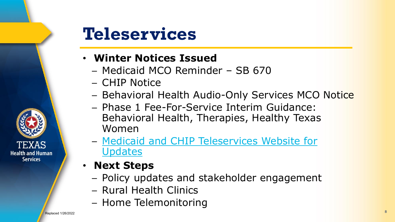

## **Teleservices**

#### • **Winter Notices Issued**

- − Medicaid MCO Reminder SB 670
- − CHIP Notice
- − Behavioral Health Audio-Only Services MCO Notice
- − Phase 1 Fee-For-Service Interim Guidance: Behavioral Health, Therapies, Healthy Texas Women
- − [Medicaid and CHIP Teleservices Website for](https://www.hhs.texas.gov/services/health/medicaid-chip/provider-information/medicaid-chip-teleservices)  **Updates**
- **Next Steps**
	- − Policy updates and stakeholder engagement
	- − Rural Health Clinics
	- − Home Telemonitoring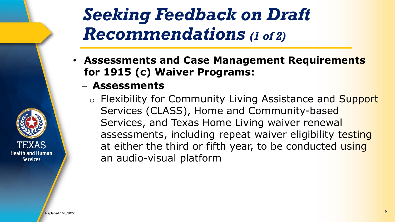## *Seeking Feedback on Draft Recommendations (1 of 2)*

- **Assessments and Case Management Requirements for 1915 (c) Waiver Programs:**
	- − **Assessments**
		- o Flexibility for Community Living Assistance and Support Services (CLASS), Home and Community-based Services, and Texas Home Living waiver renewal assessments, including repeat waiver eligibility testing at either the third or fifth year, to be conducted using an audio-visual platform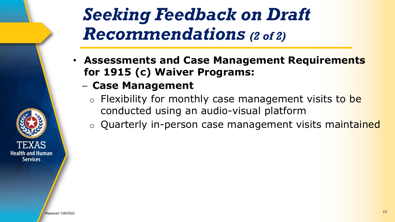*Seeking Feedback on Draft Recommendations (2 of 2)*

- **Assessments and Case Management Requirements for 1915 (c) Waiver Programs:**
	- − **Case Management**
		- o Flexibility for monthly case management visits to be conducted using an audio-visual platform
		- o Quarterly in-person case management visits maintained

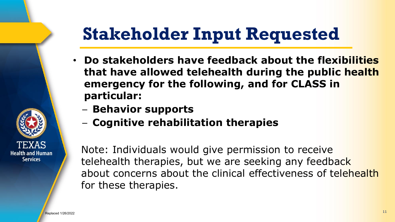# **Stakeholder Input Requested**

- **Do stakeholders have feedback about the flexibilities that have allowed telehealth during the public health emergency for the following, and for CLASS in particular:**
	- − **Behavior supports**
	- − **Cognitive rehabilitation therapies**

Note: Individuals would give permission to receive telehealth therapies, but we are seeking any feedback about concerns about the clinical effectiveness of telehealth for these therapies.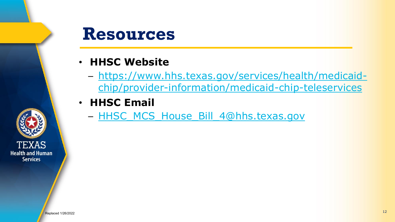### **Resources**

- **HHSC Website**
	- − https://www.hhs.texas.gov/services/health/medicaid[chip/provider-information/medicaid-chip-teleservices](https://www.hhs.texas.gov/services/health/medicaid-chip/provider-information/medicaid-chip-teleservices)
- **HHSC Email**
	- − [HHSC\\_MCS\\_House\\_Bill\\_4@hhs.texas.gov](mailto:HHSC_MCS_House_Bill_4@hhs.texas.gov)